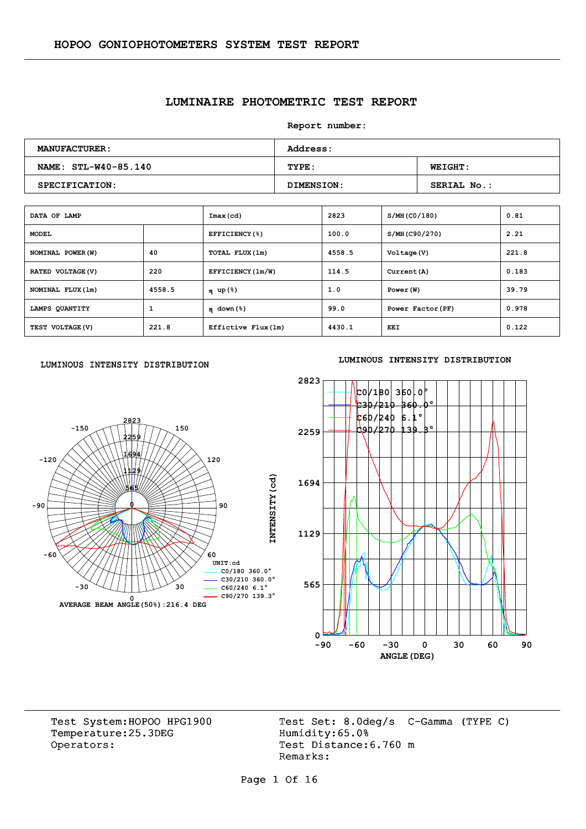# **LUMINAIRE PHOTOMETRIC TEST REPORT**

**Report number:** 

| <b>MANUFACTURER:</b> | <b>Address:</b> |                    |  |  |  |  |  |
|----------------------|-----------------|--------------------|--|--|--|--|--|
| NAME: STL-W40-85.140 | TYPE:           | <b>WEIGHT:</b>     |  |  |  |  |  |
| SPECIFICATION:       | DIMENSION:      | <b>SERIAL No.:</b> |  |  |  |  |  |

| DATA OF LAMP      |        | Imax(cd)            | 2823   | S/MH (CO/180)     | 0.81  |
|-------------------|--------|---------------------|--------|-------------------|-------|
| <b>MODEL</b>      |        | EFFICIENCY(%)       | 100.0  | S/MH(C90/270)     | 2.21  |
| NOMINAL POWER (W) | 40     | TOTAL FLUX(1m)      | 4558.5 | Voltage (V)       | 221.8 |
| RATED VOLTAGE (V) | 220    | EFFICIENCY (1m/W)   | 114.5  | Current (A)       | 0.183 |
| NOMINAL FLUX (1m) | 4558.5 | η up(%)             | 1.0    | Power (W)         | 39.79 |
| LAMPS QUANTITY    | 1      | $\eta$ down (%)     | 99.0   | Power Factor (PF) | 0.978 |
| TEST VOLTAGE (V)  | 221.8  | Effictive Flux (1m) | 4430.1 | EEI               | 0.122 |

#### LUMINOUS INTENSITY DISTRIBUTION



#### **LUMINOUS INTENSITY DISTRIBUTION**



Temperature:25.3DEG Operators: Test Distance: 6.760 m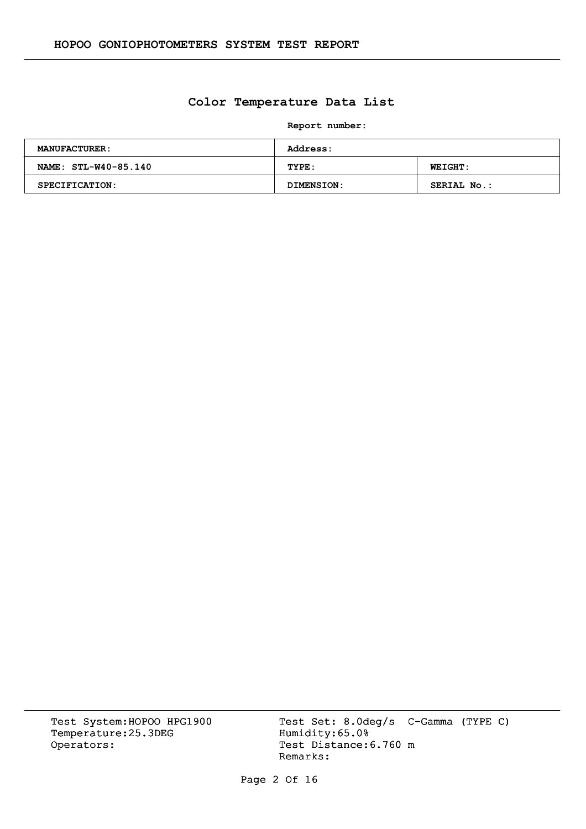# **Color Temperature Data List**

**Report number:** 

| <b>MANUFACTURER:</b>  | <b>Address:</b> |                |  |  |  |  |  |
|-----------------------|-----------------|----------------|--|--|--|--|--|
| NAME: STL-W40-85.140  | TYPE:           | <b>WEIGHT:</b> |  |  |  |  |  |
| <b>SPECIFICATION:</b> | DIMENSION:      | SERIAL No.:    |  |  |  |  |  |

Temperature:25.3DEG Operators: Test Distance: 6.760 m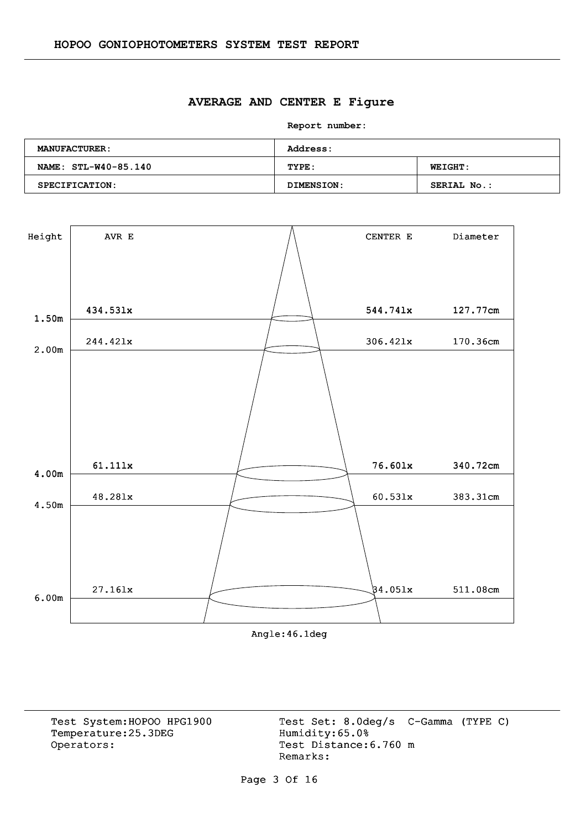#### **AVERAGE AND CENTER E Figure**

**Report number:** 

| <b>MANUFACTURER:</b> | <b>Address:</b> |                    |  |  |  |  |  |
|----------------------|-----------------|--------------------|--|--|--|--|--|
| NAME: STL-W40-85.140 | TYPE:           | <b>WEIGHT:</b>     |  |  |  |  |  |
| SPECIFICATION:       | DIMENSION:      | <b>SERIAL No.:</b> |  |  |  |  |  |



Angle:46.1deg

Temperature:25.3DEG Operators: Test Distance: 6.760 m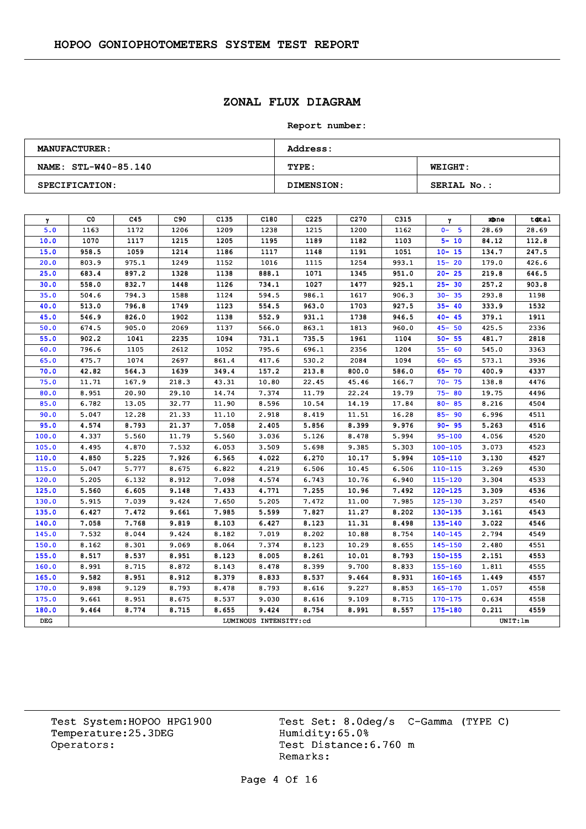# **ZONAL FLUX DIAGRAM**

#### **Report number:**

| <b>MANUFACTURER:</b>  | <b>Address:</b> |                |  |  |  |  |  |
|-----------------------|-----------------|----------------|--|--|--|--|--|
| NAME: STL-W40-85.140  | TYPE:           | <b>WEIGHT:</b> |  |  |  |  |  |
| <b>SPECIFICATION:</b> | DIMENSION:      | SERIAL No.:    |  |  |  |  |  |

| $\gamma$ | CO.   | C45   | C90   | C <sub>135</sub> | C180                  | C <sub>225</sub> | C <sub>270</sub> | C315  | γ           | zbne    | total |
|----------|-------|-------|-------|------------------|-----------------------|------------------|------------------|-------|-------------|---------|-------|
| 5.0      | 1163  | 1172  | 1206  | 1209             | 1238                  | 1215             | 1200             | 1162  | $0 - 5$     | 28.69   | 28.69 |
| 10.0     | 1070  | 1117  | 1215  | 1205             | 1195                  | 1189             | 1182             | 1103  | $5 - 10$    | 84.12   | 112.8 |
| 15.0     | 958.5 | 1059  | 1214  | 1186             | 1117                  | 1148             | 1191             | 1051  | $10 - 15$   | 134.7   | 247.5 |
| 20.0     | 803.9 | 975.1 | 1249  | 1152             | 1016                  | 1115             | 1254             | 993.1 | $15 - 20$   | 179.0   | 426.6 |
| 25.0     | 683.4 | 897.2 | 1328  | 1138             | 888.1                 | 1071             | 1345             | 951.0 | $20 - 25$   | 219.8   | 646.5 |
| 30.0     | 558.0 | 832.7 | 1448  | 1126             | 734.1                 | 1027             | 1477             | 925.1 | $25 - 30$   | 257.2   | 903.8 |
| 35.0     | 504.6 | 794.3 | 1588  | 1124             | 594.5                 | 986.1            | 1617             | 906.3 | $30 - 35$   | 293.8   | 1198  |
| 40.0     | 513.0 | 796.8 | 1749  | 1123             | 554.5                 | 963.0            | 1703             | 927.5 | $35 - 40$   | 333.9   | 1532  |
| 45.0     | 546.9 | 826.0 | 1902  | 1138             | 552.9                 | 931.1            | 1738             | 946.5 | $40 - 45$   | 379.1   | 1911  |
| 50.0     | 674.5 | 905.0 | 2069  | 1137             | 566.0                 | 863.1            | 1813             | 960.0 | $45 - 50$   | 425.5   | 2336  |
| 55.0     | 902.2 | 1041  | 2235  | 1094             | 731.1                 | 735.5            | 1961             | 1104  | $50 - 55$   | 481.7   | 2818  |
| 60.0     | 796.6 | 1105  | 2612  | 1052             | 795.6                 | 696.1            | 2356             | 1204  | $55 - 60$   | 545.0   | 3363  |
| 65.0     | 475.7 | 1074  | 2697  | 861.4            | 417.6                 | 530.2            | 2084             | 1094  | $60 - 65$   | 573.1   | 3936  |
| 70.0     | 42.82 | 564.3 | 1639  | 349.4            | 157.2                 | 213.8            | 800.0            | 586.0 | $65 - 70$   | 400.9   | 4337  |
| 75.0     | 11.71 | 167.9 | 218.3 | 43.31            | 10.80                 | 22.45            | 45.46            | 166.7 | $70 - 75$   | 138.8   | 4476  |
| 80.0     | 8.951 | 20.90 | 29.10 | 14.74            | 7.374                 | 11.79            | 22.24            | 19.79 | $75 - 80$   | 19.75   | 4496  |
| 85.0     | 6.782 | 13.05 | 32.77 | 11.90            | 8.596                 | 10.54            | 14.19            | 17.84 | $80 - 85$   | 8.216   | 4504  |
| 90.0     | 5.047 | 12.28 | 21.33 | 11,10            | 2.918                 | 8.419            | 11.51            | 16.28 | $85 - 90$   | 6.996   | 4511  |
| 95.0     | 4.574 | 8.793 | 21.37 | 7.058            | 2.405                 | 5.856            | 8.399            | 9.976 | $90 - 95$   | 5.263   | 4516  |
| 100.0    | 4.337 | 5.560 | 11.79 | 5.560            | 3.036                 | 5.126            | 8.478            | 5.994 | $95 - 100$  | 4.056   | 4520  |
| 105.0    | 4.495 | 4.870 | 7.532 | 6.053            | 3.509                 | 5.698            | 9.385            | 5.303 | $100 - 105$ | 3.073   | 4523  |
| 110.0    | 4.850 | 5.225 | 7.926 | 6.565            | 4.022                 | 6.270            | 10.17            | 5.994 | $105 - 110$ | 3.130   | 4527  |
| 115.0    | 5.047 | 5.777 | 8.675 | 6.822            | 4.219                 | 6.506            | 10.45            | 6.506 | $110 - 115$ | 3.269   | 4530  |
| 120.0    | 5.205 | 6.132 | 8.912 | 7.098            | 4.574                 | 6.743            | 10.76            | 6.940 | $115 - 120$ | 3.304   | 4533  |
| 125.0    | 5.560 | 6.605 | 9.148 | 7.433            | 4.771                 | 7.255            | 10.96            | 7.492 | $120 - 125$ | 3.309   | 4536  |
| 130.0    | 5.915 | 7.039 | 9.424 | 7.650            | 5.205                 | 7.472            | 11.00            | 7.985 | 125-130     | 3.257   | 4540  |
| 135.0    | 6.427 | 7.472 | 9.661 | 7.985            | 5.599                 | 7.827            | 11.27            | 8.202 | $130 - 135$ | 3.161   | 4543  |
| 140.0    | 7.058 | 7.768 | 9.819 | 8.103            | 6.427                 | 8.123            | 11.31            | 8.498 | 135-140     | 3.022   | 4546  |
| 145.0    | 7.532 | 8.044 | 9.424 | 8.182            | 7.019                 | 8.202            | 10.88            | 8.754 | $140 - 145$ | 2.794   | 4549  |
| 150.0    | 8.162 | 8.301 | 9.069 | 8.064            | 7.374                 | 8.123            | 10.29            | 8.655 | $145 - 150$ | 2.480   | 4551  |
| 155.0    | 8.517 | 8.537 | 8.951 | 8.123            | 8.005                 | 8.261            | 10.01            | 8.793 | $150 - 155$ | 2.151   | 4553  |
| 160.0    | 8.991 | 8.715 | 8.872 | 8.143            | 8.478                 | 8.399            | 9.700            | 8.833 | $155 - 160$ | 1.811   | 4555  |
| 165.0    | 9.582 | 8.951 | 8.912 | 8.379            | 8.833                 | 8.537            | 9.464            | 8.931 | $160 - 165$ | 1.449   | 4557  |
| 170.0    | 9.898 | 9.129 | 8.793 | 8.478            | 8.793                 | 8.616            | 9.227            | 8.853 | 165-170     | 1.057   | 4558  |
| 175.0    | 9.661 | 8.951 | 8.675 | 8.537            | 9.030                 | 8.616            | 9.109            | 8.715 | $170 - 175$ | 0.634   | 4558  |
| 180.0    | 9.464 | 8.774 | 8.715 | 8.655            | 9.424                 | 8.754            | 8.991            | 8.557 | $175 - 180$ | 0.211   | 4559  |
| DEG      |       |       |       |                  | LUMINOUS INTENSITY:cd |                  |                  |       |             | UNIT:1m |       |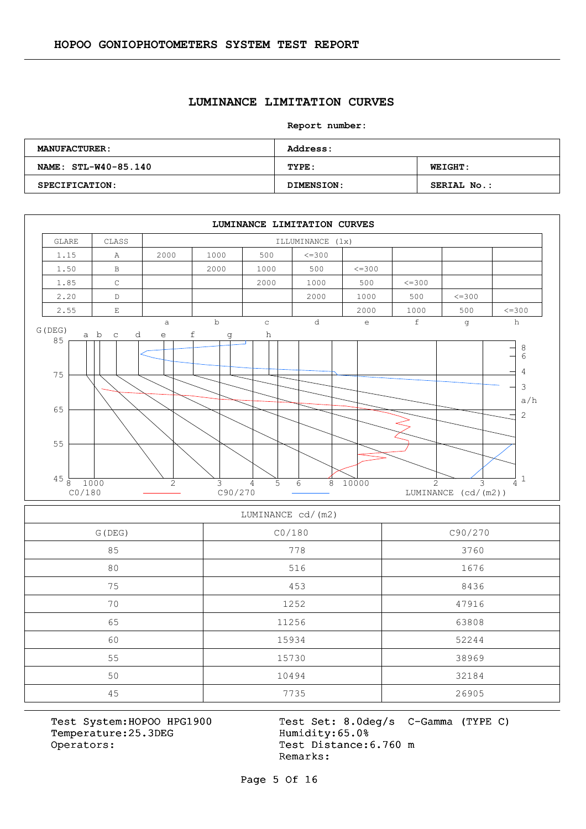#### **LUMINANCE LIMITATION CURVES**

#### **Report number:**

| <b>MANUFACTURER:</b> | Address:   |                    |  |  |  |  |  |
|----------------------|------------|--------------------|--|--|--|--|--|
| NAME: STL-W40-85.140 | TYPE:      | <b>WEIGHT:</b>     |  |  |  |  |  |
| SPECIFICATION:       | DIMENSION: | <b>SERIAL No.:</b> |  |  |  |  |  |



#### LUMINANCE cd/(m2)

| G (DEG) | CO/180 | C90/270 |
|---------|--------|---------|
| 85      | 778    | 3760    |
| 80      | 516    | 1676    |
| 75      | 453    | 8436    |
| 70      | 1252   | 47916   |
| 65      | 11256  | 63808   |
| 60      | 15934  | 52244   |
| 55      | 15730  | 38969   |
| 50      | 10494  | 32184   |
| 45      | 7735   | 26905   |

Temperature:25.3DEG Operators: Test Distance: 6.760 m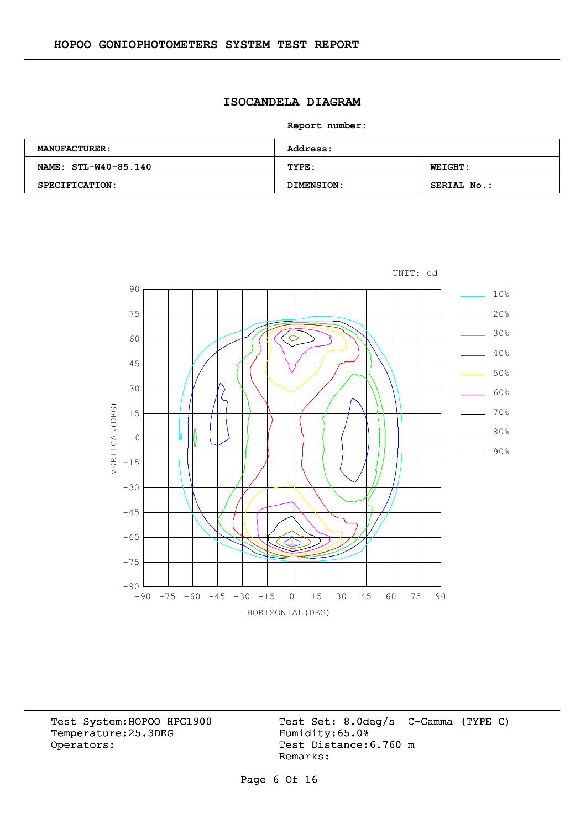# **ISOCANDELA DIAGRAM**

**Report number:** 

| <b>MANUFACTURER:</b>  | <b>Address:</b> |                |  |  |  |  |  |
|-----------------------|-----------------|----------------|--|--|--|--|--|
| NAME: STL-W40-85.140  | TYPE:           | <b>WEIGHT:</b> |  |  |  |  |  |
| <b>SPECIFICATION:</b> | DIMENSION:      | SERIAL No.:    |  |  |  |  |  |



Temperature:25.3DEG Operators: Test Distance: 6.760 m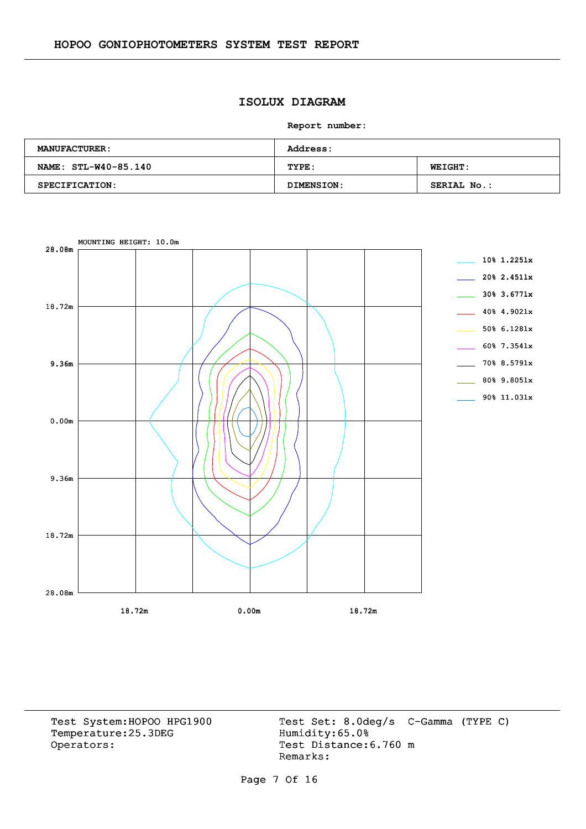# **ISOLUX DIAGRAM**

**Report number:** 

| <b>MANUFACTURER:</b> | <b>Address:</b> |                    |  |  |  |  |  |
|----------------------|-----------------|--------------------|--|--|--|--|--|
| NAME: STL-W40-85.140 | TYPE:           | <b>WEIGHT:</b>     |  |  |  |  |  |
| SPECIFICATION:       | DIMENSION:      | <b>SERIAL No.:</b> |  |  |  |  |  |

![](_page_6_Figure_4.jpeg)

Temperature:25.3DEG Operators: Test Distance: 6.760 m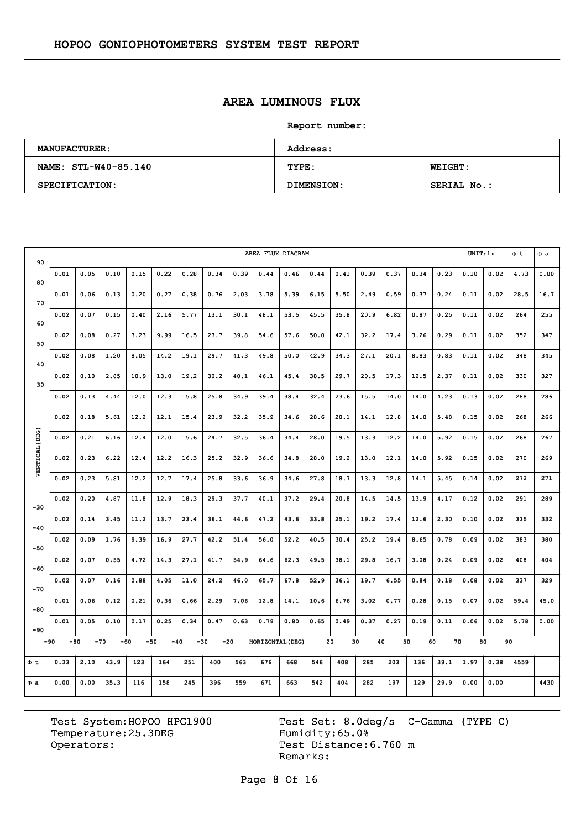# **AREA LUMINOUS FLUX**

**Report number:** 

| <b>MANUFACTURER:</b> | Address:   |                    |  |  |  |  |  |
|----------------------|------------|--------------------|--|--|--|--|--|
| NAME: STL-W40-85.140 | TYPE:      | <b>WEIGHT:</b>     |  |  |  |  |  |
| SPECIFICATION:       | DIMENSION: | <b>SERIAL No.:</b> |  |  |  |  |  |

| 90             | AREA FLUX DIAGRAM |       |      |      |      |                |      |       |                  |      |      |      |      | UNIT:lm |          | $\Phi$ <sub>t</sub> | $\Phi$ a |      |      |      |
|----------------|-------------------|-------|------|------|------|----------------|------|-------|------------------|------|------|------|------|---------|----------|---------------------|----------|------|------|------|
| 80             | 0.01              | 0.05  | 0.10 | 0.15 | 0.22 | 0.28           | 0.34 | 0.39  | 0.44             | 0.46 | 0.44 | 0.41 | 0.39 | 0.37    | 0.34     | 0.23                | 0.10     | 0.02 | 4.73 | 0.00 |
| 70             | 0.01              | 0.06  | 0.13 | 0.20 | 0.27 | 0.38           | 0.76 | 2.03  | 3.78             | 5.39 | 6.15 | 5.50 | 2.49 | 0.59    | 0.37     | 0.24                | 0.11     | 0.02 | 28.5 | 16.7 |
| 60             | 0.02              | 0.07  | 0.15 | 0.40 | 2.16 | 5.77           | 13.1 | 30.1  | 48.1             | 53.5 | 45.5 | 35.8 | 20.9 | 6.82    | 0.87     | 0.25                | 0.11     | 0.02 | 264  | 255  |
| 50             | 0.02              | 0.08  | 0.27 | 3.23 | 9.99 | 16.5           | 23.7 | 39.8  | 54.6             | 57.6 | 50.0 | 42.1 | 32.2 | 17.4    | 3.26     | 0.29                | 0.11     | 0.02 | 352  | 347  |
| 40             | 0.02              | 0.08  | 1,20 | 8.05 | 14.2 | 19.1           | 29.7 | 41.3  | 49.8             | 50.0 | 42.9 | 34.3 | 27.1 | 20.1    | 8.83     | 0.83                | 0.11     | 0.02 | 348  | 345  |
| 30             | 0.02              | 0.10  | 2.85 | 10.9 | 13.0 | 19.2           | 30.2 | 40.1  | 46.1             | 45.4 | 38.5 | 29.7 | 20.5 | 17.3    | 12.5     | 2.37                | 0.11     | 0.02 | 330  | 327  |
|                | 0.02              | 0.13  | 4.44 | 12.0 | 12.3 | 15.8           | 25.8 | 34.9  | 39.4             | 38.4 | 32.4 | 23.6 | 15.5 | 14.0    | 14.0     | 4.23                | 0.13     | 0.02 | 288  | 286  |
|                | 0.02              | 0.18  | 5.61 | 12.2 | 12.1 | 15.4           | 23.9 | 32.2  | 35.9             | 34.6 | 28.6 | 20.1 | 14.1 | 12.8    | 14.0     | 5.48                | 0.15     | 0.02 | 268  | 266  |
|                | 0.02              | 0.21  | 6.16 | 12.4 | 12.0 | 15.6           | 24.7 | 32.5  | 36.4             | 34.4 | 28.0 | 19.5 | 13.3 | 12.2    | 14.0     | 5.92                | 0.15     | 0.02 | 268  | 267  |
| VERTICAL (DEG) | 0.02              | 0.23  | 6.22 | 12.4 | 12.2 | 16.3           | 25.2 | 32.9  | 36.6             | 34.8 | 28.0 | 19.2 | 13.0 | 12.1    | 14.0     | 5.92                | 0.15     | 0.02 | 270  | 269  |
|                | 0.02              | 0.23  | 5.81 | 12.2 | 12.7 | 17.4           | 25.8 | 33.6  | 36.9             | 34.6 | 27.8 | 18.7 | 13.3 | 12.8    | 14.1     | 5.45                | 0.14     | 0.02 | 272  | 271  |
|                | 0.02              | 0.20  | 4.87 | 11.8 | 12.9 | 18.3           | 29.3 | 37.7  | 40.1             | 37.2 | 29.4 | 20.8 | 14.5 | 14.5    | 13.9     | 4.17                | 0.12     | 0.02 | 291  | 289  |
| $-30$          | 0.02              | 0.14  | 3.45 | 11.2 | 13.7 | 23.4           | 36.1 | 44.6  | 47.2             | 43.6 | 33.8 | 25.1 | 19.2 | 17.4    | 12.6     | 2.30                | 0.10     | 0.02 | 335  | 332  |
| $-40$          | 0.02              | 0.09  | 1.76 | 9.39 | 16.9 | 27.7           | 42.2 | 51.4  | 56.0             | 52.2 | 40.5 | 30.4 | 25.2 | 19.4    | 8.65     | 0.78                | 0.09     | 0.02 | 383  | 380  |
| $-50$          | 0.02              | 0.07  | 0.55 | 4.72 | 14.3 | 27.1           | 41.7 | 54.9  | 64.6             | 62.3 | 49.5 | 38.1 | 29.8 | 16.7    | 3.08     | 0.24                | 0.09     | 0.02 | 408  | 404  |
| $-60$          | 0.02              | 0.07  | 0.16 | 0.88 | 4.05 | 11.0           | 24.2 | 46.0  | 65.7             | 67.8 | 52.9 | 36.1 | 19.7 | 6.55    | 0.84     | 0.18                | 0.08     | 0.02 | 337  | 329  |
| $-70$          | 0.01              | 0.06  | 0.12 | 0.21 | 0.36 | 0.66           | 2.29 | 7.06  | 12.8             | 14.1 | 10.6 | 6.76 | 3.02 | 0.77    | 0.28     | 0.15                | 0.07     | 0.02 | 59.4 | 45.0 |
| $-80$          | 0.01              | 0.05  | 0.10 | 0.17 | 0.25 | 0.34           | 0.47 | 0.63  | 0.79             | 0.80 | 0.65 | 0.49 | 0.37 | 0.27    | 0.19     | 0.11                | 0.06     | 0.02 | 5.78 | 0.00 |
| $-90$<br>-90   | -80               | $-70$ |      | -60  | -50  | $-40$<br>$-30$ |      | $-20$ | HORIZONTAL (DEG) |      | 20   |      | 30   | 40      | 50<br>60 | 70                  | 80       |      | 90   |      |
| Φt             | 0.33              | 2.10  | 43.9 | 123  | 164  | 251            | 400  | 563   | 676              | 668  | 546  | 408  | 285  | 203     | 136      | 39.1                | 1.97     | 0.38 | 4559 |      |
| $\Phi$ a       | 0.00              | 0.00  | 35.3 | 116  | 158  | 245            | 396  | 559   | 671              | 663  | 542  | 404  | 282  | 197     | 129      | 29.9                | 0.00     | 0.00 |      | 4430 |
|                |                   |       |      |      |      |                |      |       |                  |      |      |      |      |         |          |                     |          |      |      |      |

Temperature:25.3DEG Operators: Test Distance: 6.760 m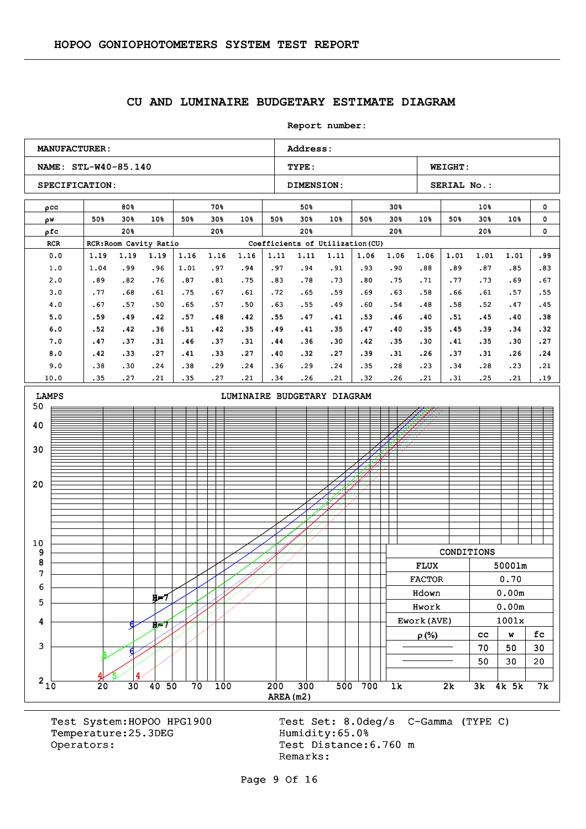#### **CU AND LUMINAIRE BUDGETARY ESTIMATE DIAGRAM**

**Report number: NAME: STL-W40-85.140 TYPE: WEIGHT:** SPECIFICATION: DIMENSION: SERIAL No.: **MANUFACTURER:** Address: ρcc w ρ ρfc RCR RCR:Room Cavity Ratio Coefficients of Utilization (CU) 80% 50% 30% 50% 30% 10% 20% 70% 50% 30% 50% 30% 10% 20% 50% 50% 30% 50% 30% 10% 20% 30% 50% 30% 50% 30% 10% 20% 10% 50% 30% 50% 30% 10% 20% 0  $\mathbf{0}$ 0 0.0 1.0 2.0 3.0 4.0 5.0 6.0 7.0 8.0 9.0 10.0 1.19 1.04 .89 .77 .67 .59 .52 .47 .42 .38 .35 1.19 .99 .82 .68 .57 .49 .42 .37 .33 .30 .27 1.19 .96 .76 .61 .50 .42 .36 .31 .27 .24 .21 1.16 1.01 .87 .75 .65 .57 .51 .46 .41 .38 .35 1.16 .97 .81 .67 .57 .48 .42 .37 .33 .29 .27 1.16 .94 .75 .61 .50 .42 .35 .31 .27 .24 .21 1.11 .97 .83 .72 .63 .55 .49 .44 .40 .36 .34 1.11 .94 .78 .65 .55 .47 .41 .36 .32 .29 .26 1.11 .91 .73 .59 .49 .41 .35 .30 .27 .24 .21 1.06 .93 .80 .69 .60 .53 .47 .42 .39 .35 .32 1.06 .90 .75 .63 .54 .46 .40 .35 .31 .28 .26 1.06 .88 .71 .58 .48 .40 .35 .30 .26 .23 .21 1.01 .89 .77 .66 .58 .51 .45 .41 .37 .34 .31 1.01 .87 .73 .61 .52 .45 .39 .35 .31 .28 .25 1.01 .85 .69 .57 .47 .40 .34 .30 .26  $.23$ .21 .99 .83 .67 .55 .45 .38 .32 .27 .24 .21 .19  $210$  20 30 40 50 70 100 200 300 500 700 1k 2k 3k 4k 5k 7k 3 4 5 6 7 8 9 10 20 30 40 50 LAMPS **LAMPS LIMINAIRE BUDGETARY DIAGRAM**  $5/14$ 6 H=7 4 5 6 H=7 CONDITIONS FLUX 5000lm FLUX 5000lm FACTOR 0.70 Hdown 0.00m Hdown 0.00m Hwork 0.00m Hwork 0.00m Ework(AVE)  $\vert$  1001x  $\rho(\%)$  | cc | w | fc  $70 \mid 50 \mid 30$  $50 \mid 30 \mid 20$ 

Temperature: 25.3DEG Humidity: 65.0% Operators: Test Distance: 6.760 m

Test System:HOPOO HPG1900 Test Set: 8.0deg/s C-Gamma (TYPE C) Remarks:

AREA(m2)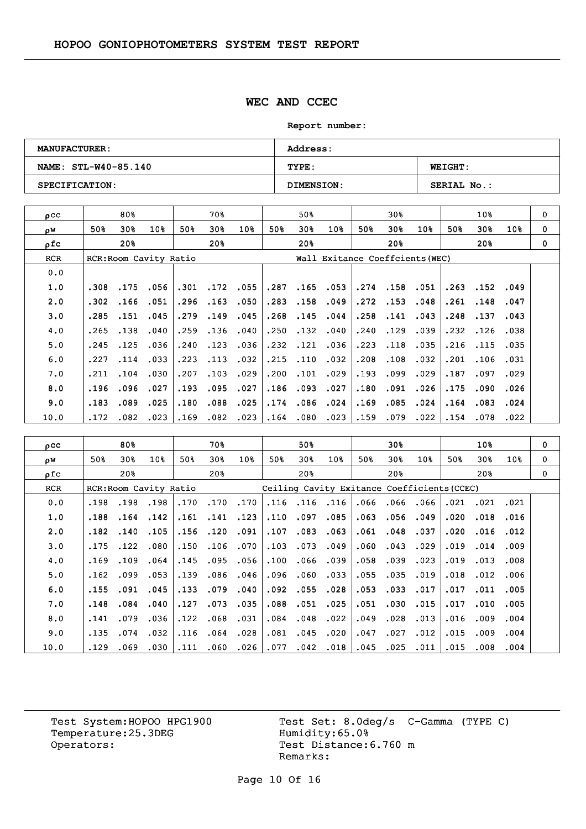### **WEC AND CCEC**

**Report number:** 

| <b>MANUFACTURER:</b> | <b>Address:</b>   |                    |  |  |  |  |  |
|----------------------|-------------------|--------------------|--|--|--|--|--|
| NAME: STL-W40-85.140 | TYPE:             | <b>WEIGHT:</b>     |  |  |  |  |  |
| SPECIFICATION:       | <b>DIMENSION:</b> | <b>SERIAL No.:</b> |  |  |  |  |  |

| $_{\text{O}}$ CC |      | 80%                    |      |      | 70왕  |             |      | 50%                             |                 |      | 30%      |      |      | 10 <sub>8</sub> |      | 0        |
|------------------|------|------------------------|------|------|------|-------------|------|---------------------------------|-----------------|------|----------|------|------|-----------------|------|----------|
| οW               | 50%  | 30%                    | 10%  | 50%  | 30%  | 10%         | 50%  | 30%                             | 10 <sub>8</sub> | 50%  | 30%      | 10%  | 50%  | 30 <sub>8</sub> | 10%  | $\Omega$ |
| ρfc              |      | 20%                    |      |      | 20%  |             |      | 20%                             |                 |      | 20%      |      |      | 20%             |      | $\Omega$ |
| <b>RCR</b>       |      | RCR: Room Cavity Ratio |      |      |      |             |      | Wall Exitance Coeffcients (WEC) |                 |      |          |      |      |                 |      |          |
| 0.0              |      |                        |      |      |      |             |      |                                 |                 |      |          |      |      |                 |      |          |
| 1.0              | .308 | .175                   | .056 | .301 |      | $.172$ .055 | .287 | .165                            | .053            |      | .274.158 | .051 | .263 | .152            | .049 |          |
| 2.0              | .302 | .166                   | .051 | .296 | .163 | .050        | .283 | .158                            | .049            | .272 | .153     | .048 | .261 | .148            | .047 |          |
| 3.0              | .285 | .151                   | .045 | .279 | .149 | .045        | .268 | .145                            | .044            | .258 | .141     | .043 | .248 | .137            | .043 |          |
| 4.0              | .265 | .138                   | .040 | .259 | .136 | .040        | .250 | .132                            | .040            | .240 | .129     | .039 | .232 | .126            | .038 |          |
| 5.0              | .245 | .125                   | .036 | .240 | .123 | .036        | .232 | .121                            | .036            | .223 | .118     | .035 | .216 | .115            | .035 |          |
| 6.0              | .227 | .114                   | .033 | .223 | .113 | .032        | .215 | .110                            | .032            | .208 | .108     | .032 | .201 | .106            | .031 |          |
| 7.0              | .211 | .104                   | .030 | .207 | .103 | .029        | .200 | .101                            | .029            | .193 | .099     | .029 | .187 | .097            | .029 |          |
| 8.0              | .196 | .096                   | .027 | .193 | .095 | .027        | .186 | .093                            | .027            | .180 | .091     | .026 | .175 | .090            | .026 |          |
| 9.0              | .183 | .089                   | .025 | .180 | .088 | .025        | .174 | .086                            | .024            | .169 | .085     | .024 | .164 | .083            | .024 |          |
| 10.0             | .172 | .082                   | .023 | .169 | .082 | .023        | .164 | .080                            | .023            | .159 | .079     | .022 | .154 | .078            | .022 |          |

| $_{\text{pcc}}$ |      | 80%  |                        |      | 70%  |                 |      | 50%             |                                             |      | 30%  |      |      | 10%             |      | $\mathbf 0$ |
|-----------------|------|------|------------------------|------|------|-----------------|------|-----------------|---------------------------------------------|------|------|------|------|-----------------|------|-------------|
| ρW              | 50%  | 30%  | 10 <sub>8</sub>        | 50%  | 30%  | 10 <sub>8</sub> | 50%  | 30 <sub>8</sub> | 10 <sub>8</sub>                             | 50%  | 30%  | 10%  | 50%  | 30%             | 10%  | 0           |
| ofc             |      | 20%  |                        |      | 20%  |                 |      | 20%             |                                             |      | 20%  |      |      | 20 <sup>8</sup> |      | 0           |
| <b>RCR</b>      |      |      | RCR: Room Cavity Ratio |      |      |                 |      |                 | Ceiling Cavity Exitance Coefficients (CCEC) |      |      |      |      |                 |      |             |
| 0.0             | .198 | .198 | .198                   | .170 | .170 | .170            | .116 | .116            | .116                                        | .066 | .066 | .066 | .021 | .021            | .021 |             |
| 1.0             | .188 | .164 | .142                   | .161 | .141 | .123            | .110 | .097            | .085                                        | .063 | .056 | .049 | .020 | .018            | .016 |             |
| 2.0             | .182 | .140 | .105                   | .156 | .120 | .091            | .107 | .083            | .063                                        | .061 | .048 | .037 | .020 | .016            | .012 |             |
| 3.0             | .175 | .122 | .080                   | .150 | .106 | .070            | .103 | .073            | .049                                        | .060 | .043 | .029 | .019 | .014            | .009 |             |
| 4.0             | .169 | .109 | .064                   | .145 | .095 | .056            | .100 | .066            | .039                                        | .058 | .039 | .023 | .019 | .013            | .008 |             |
| 5.0             | .162 | .099 | .053                   | .139 | .086 | .046            | .096 | .060            | .033                                        | .055 | .035 | .019 | .018 | .012            | .006 |             |
| 6.0             | .155 | .091 | .045                   | .133 | .079 | .040            | .092 | .055            | .028                                        | .053 | .033 | .017 | .017 | .011            | .005 |             |
| 7.0             | .148 | .084 | .040                   | .127 | .073 | .035            | .088 | .051            | .025                                        | .051 | .030 | .015 | .017 | .010            | .005 |             |
| 8.0             | .141 | .079 | .036                   | .122 | .068 | .031            | .084 | .048            | .022                                        | .049 | .028 | .013 | .016 | .009            | .004 |             |
| 9.0             | .135 | .074 | .032                   | .116 | .064 | .028            | .081 | .045            | .020                                        | .047 | .027 | .012 | .015 | .009            | .004 |             |
| 10.0            | .129 | .069 | .030                   | .111 | .060 | .026            | .077 | .042            | .018                                        | .045 | .025 | .011 | .015 | .008            | .004 |             |

Temperature:25.3DEG Operators: Test Distance: 6.760 m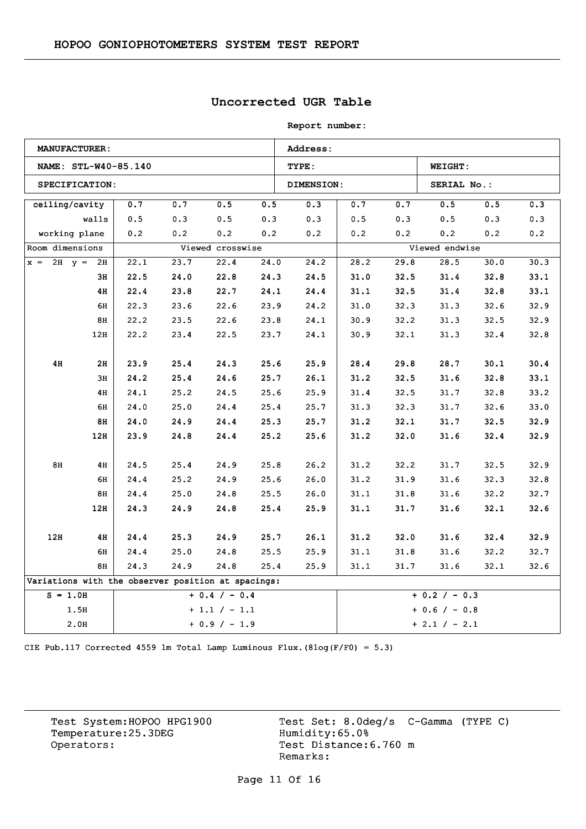## **Uncorrected UGR Table**

**Report number:** 

|                                                    | <b>MANUFACTURER:</b> |      |      |                  |      | Address:   |      |      |                 |      |      |
|----------------------------------------------------|----------------------|------|------|------------------|------|------------|------|------|-----------------|------|------|
|                                                    | NAME: STL-W40-85.140 |      |      |                  |      | TYPE:      |      |      | <b>WEIGHT:</b>  |      |      |
|                                                    | SPECIFICATION:       |      |      |                  |      | DIMENSION: |      |      | SERIAL No.:     |      |      |
| ceiling/cavity                                     |                      | 0.7  | 0.7  | 0.5              | 0.5  | 0.3        | 0.7  | 0.7  | 0.5             | 0.5  | 0.3  |
|                                                    | walls                | 0.5  | 0.3  | 0.5              | 0.3  | 0.3        | 0.5  | 0.3  | 0.5             | 0.3  | 0.3  |
|                                                    | working plane        | 0.2  | 0.2  | 0.2              | 0.2  | 0.2        | 0.2  | 0.2  | 0.2             | 0.2  | 0.2  |
| Room dimensions                                    |                      |      |      | Viewed crosswise |      |            |      |      | Viewed endwise  |      |      |
| $x = 2H$ $y = 2H$                                  |                      | 22.1 | 23.7 | 22.4             | 24.0 | 24.2       | 28.2 | 29.8 | 28.5            | 30.0 | 30.3 |
|                                                    | 3н                   | 22.5 | 24.0 | 22.8             | 24.3 | 24.5       | 31.0 | 32.5 | 31.4            | 32.8 | 33.1 |
|                                                    | 4H                   | 22.4 | 23.8 | 22.7             | 24.1 | 24.4       | 31.1 | 32.5 | 31.4            | 32.8 | 33.1 |
|                                                    | 6H                   | 22.3 | 23.6 | 22.6             | 23.9 | 24.2       | 31.0 | 32.3 | 31.3            | 32.6 | 32.9 |
|                                                    | 8H                   | 22.2 | 23.5 | 22.6             | 23.8 | 24.1       | 30.9 | 32.2 | 31.3            | 32.5 | 32.9 |
|                                                    | 12H                  | 22.2 | 23.4 | 22.5             | 23.7 | 24.1       | 30.9 | 32.1 | 31.3            | 32.4 | 32.8 |
|                                                    |                      |      |      |                  |      |            |      |      |                 |      |      |
| 4H                                                 | 2H                   | 23.9 | 25.4 | 24.3             | 25.6 | 25.9       | 28.4 | 29.8 | 28.7            | 30.1 | 30.4 |
|                                                    | 3H                   | 24.2 | 25.4 | 24.6             | 25.7 | 26.1       | 31.2 | 32.5 | 31.6            | 32.8 | 33.1 |
|                                                    | 4H                   | 24.1 | 25.2 | 24.5             | 25.6 | 25.9       | 31.4 | 32.5 | 31.7            | 32.8 | 33.2 |
|                                                    | 6H                   | 24.0 | 25.0 | 24.4             | 25.4 | 25.7       | 31.3 | 32.3 | 31.7            | 32.6 | 33.0 |
|                                                    | 8H                   | 24.0 | 24.9 | 24.4             | 25.3 | 25.7       | 31.2 | 32.1 | 31.7            | 32.5 | 32.9 |
|                                                    | 12H                  | 23.9 | 24.8 | 24.4             | 25.2 | 25.6       | 31.2 | 32.0 | 31.6            | 32.4 | 32.9 |
|                                                    |                      |      |      |                  |      |            |      |      |                 |      |      |
| 8H                                                 | 4H                   | 24.5 | 25.4 | 24.9             | 25.8 | 26.2       | 31.2 | 32.2 | 31.7            | 32.5 | 32.9 |
|                                                    | 6H                   | 24.4 | 25.2 | 24.9             | 25.6 | 26.0       | 31.2 | 31.9 | 31.6            | 32.3 | 32.8 |
|                                                    | 8H                   | 24.4 | 25.0 | 24.8             | 25.5 | 26.0       | 31.1 | 31.8 | 31.6            | 32.2 | 32.7 |
|                                                    | 12H                  | 24.3 | 24.9 | 24.8             | 25.4 | 25.9       | 31.1 | 31.7 | 31.6            | 32.1 | 32.6 |
|                                                    |                      |      |      |                  |      |            |      |      |                 |      |      |
| 12H                                                | 4H                   | 24.4 | 25.3 | 24.9             | 25.7 | 26.1       | 31.2 | 32.0 | 31.6            | 32.4 | 32.9 |
|                                                    | 6H                   | 24.4 | 25.0 | 24.8             | 25.5 | 25.9       | 31.1 | 31.8 | 31.6            | 32.2 | 32.7 |
|                                                    | 8H                   | 24.3 | 24.9 | 24.8             | 25.4 | 25.9       | 31.1 | 31.7 | 31.6            | 32.1 | 32.6 |
| Variations with the observer position at spacings: |                      |      |      |                  |      |            |      |      |                 |      |      |
| $S = 1.0H$                                         |                      |      |      | $+ 0.4 / - 0.4$  |      |            |      |      | $+ 0.2 / - 0.3$ |      |      |
|                                                    | 1.5H                 |      |      | $+1.1 / -1.1$    |      |            |      |      | $+ 0.6 / - 0.8$ |      |      |
|                                                    | 2.0H                 |      |      | $+ 0.9 / - 1.9$  |      |            |      |      | $+ 2.1 / - 2.1$ |      |      |

CIE Pub.117 Corrected 4559 lm Total Lamp Luminous Flux.(8log(F/F0) = 5.3)

Temperature:25.3DEG Operators: Test Distance: 6.760 m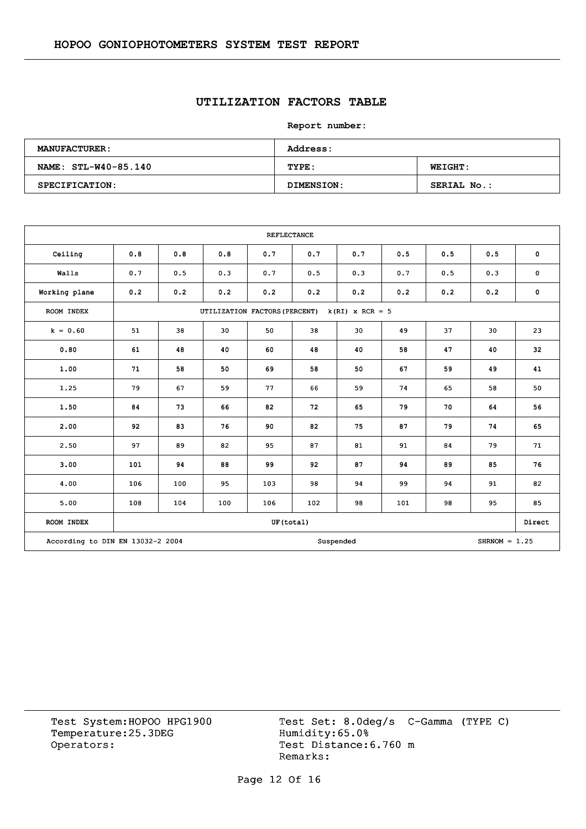## **UTILIZATION FACTORS TABLE**

**Report number:** 

| <b>MANUFACTURER:</b> | Address:   |                |  |  |  |  |  |
|----------------------|------------|----------------|--|--|--|--|--|
| NAME: STL-W40-85.140 | TYPE:      | <b>WEIGHT:</b> |  |  |  |  |  |
| SPECIFICATION:       | DIMENSION: | SERIAL No.:    |  |  |  |  |  |

|                                  |     |     |                               | <b>REFLECTANCE</b> |     |                   |     |     |                 |             |
|----------------------------------|-----|-----|-------------------------------|--------------------|-----|-------------------|-----|-----|-----------------|-------------|
| Ceiling                          | 0.8 | 0.8 | 0.8                           | 0.7                | 0.7 | 0.7               | 0.5 | 0.5 | 0.5             | $\mathbf 0$ |
| Walls                            | 0.7 | 0.5 | 0.3                           | 0.7                | 0.5 | 0.3               | 0.7 | 0.5 | 0.3             | $\pmb{0}$   |
| Working plane                    | 0.2 | 0.2 | 0.2                           | 0.2                | 0.2 | 0.2               | 0.2 | 0.2 | 0.2             | $\mathbf 0$ |
| ROOM INDEX                       |     |     | UTILIZATION FACTORS (PERCENT) |                    |     | $k(RI)$ x RCR = 5 |     |     |                 |             |
| $k = 0.60$                       | 51  | 38  | 30                            | 50                 | 38  | 30                | 49  | 37  | 30              | 23          |
| 0.80                             | 61  | 48  | 40                            | 60                 | 48  | 40                | 58  | 47  | 40              | 32          |
| 1.00                             | 71  | 58  | 50                            | 69                 | 58  | 50                | 67  | 59  | 49              | 41          |
| 1.25                             | 79  | 67  | 59                            | 77                 | 66  | 59                | 74  | 65  | 58              | 50          |
| 1.50                             | 84  | 73  | 66                            | 82                 | 72  | 65                | 79  | 70  | 64              | 56          |
| 2.00                             | 92  | 83  | 76                            | 90                 | 82  | 75                | 87  | 79  | 74              | 65          |
| 2.50                             | 97  | 89  | 82                            | 95                 | 87  | 81                | 91  | 84  | 79              | 71          |
| 3.00                             | 101 | 94  | 88                            | 99                 | 92  | 87                | 94  | 89  | 85              | 76          |
| 4.00                             | 106 | 100 | 95                            | 103                | 98  | 94                | 99  | 94  | 91              | 82          |
| 5.00                             | 108 | 104 | 100                           | 106                | 102 | 98                | 101 | 98  | 95              | 85          |
| ROOM INDEX                       |     |     |                               | UF(total)          |     |                   |     |     |                 | Direct      |
| According to DIN EN 13032-2 2004 |     |     |                               |                    |     | Suspended         |     |     | $SHRNOM = 1.25$ |             |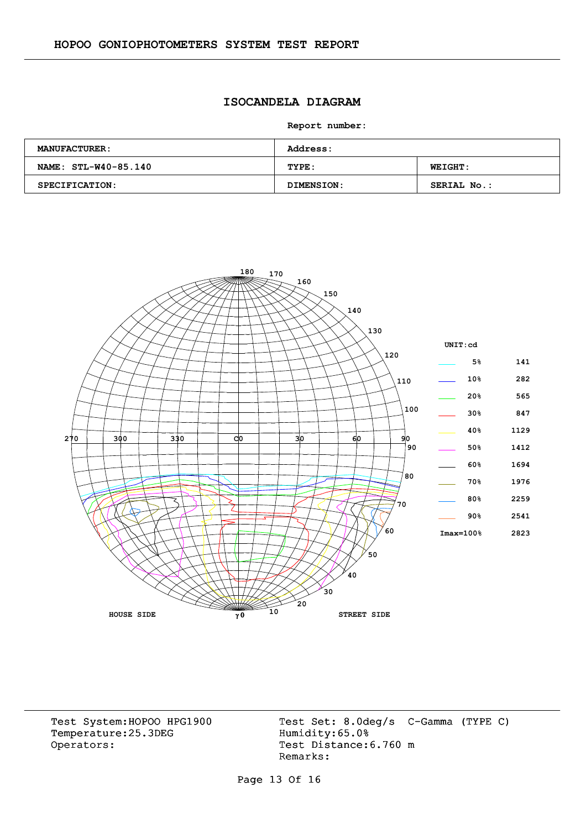## **ISOCANDELA DIAGRAM**

**Report number:** 

| <b>MANUFACTURER:</b> | <b>Address:</b> |                |  |  |  |  |  |
|----------------------|-----------------|----------------|--|--|--|--|--|
| NAME: STL-W40-85.140 | TYPE:           | <b>WEIGHT:</b> |  |  |  |  |  |
| SPECIFICATION:       | DIMENSION:      | SERIAL No.:    |  |  |  |  |  |

![](_page_12_Figure_4.jpeg)

Temperature:25.3DEG Operators: Test Distance: 6.760 m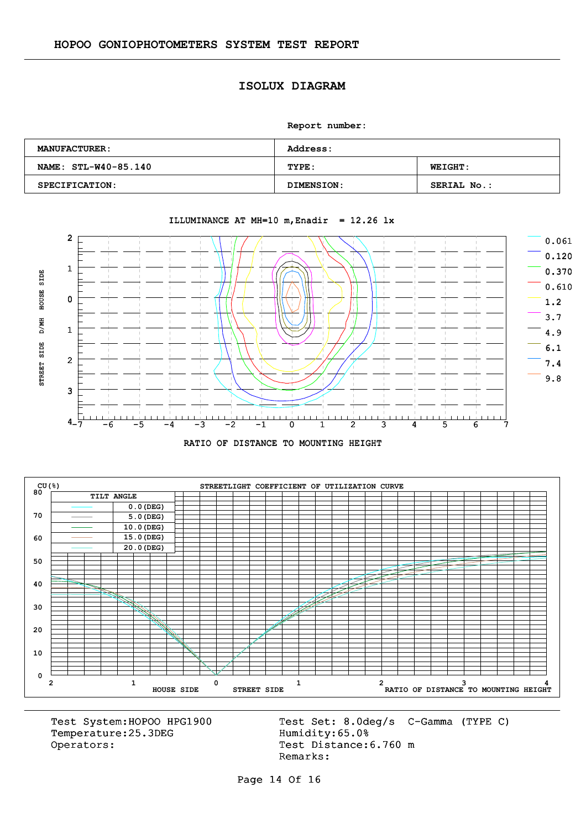#### **ISOLUX DIAGRAM**

**Report number:** 

| <b>MANUFACTURER:</b> | <b>Address:</b>   |                    |  |  |  |  |  |  |
|----------------------|-------------------|--------------------|--|--|--|--|--|--|
| NAME: STL-W40-85.140 | TYPE:             | <b>WEIGHT:</b>     |  |  |  |  |  |  |
| SPECIFICATION:       | <b>DIMENSION:</b> | <b>SERIAL No.:</b> |  |  |  |  |  |  |

![](_page_13_Figure_4.jpeg)

#### ILLUMINANCE AT MH=10  $m$ , Enadir = 12.26 lx

![](_page_13_Figure_6.jpeg)

![](_page_13_Figure_7.jpeg)

Temperature:25.3DEG Operators: Test Distance: 6.760 m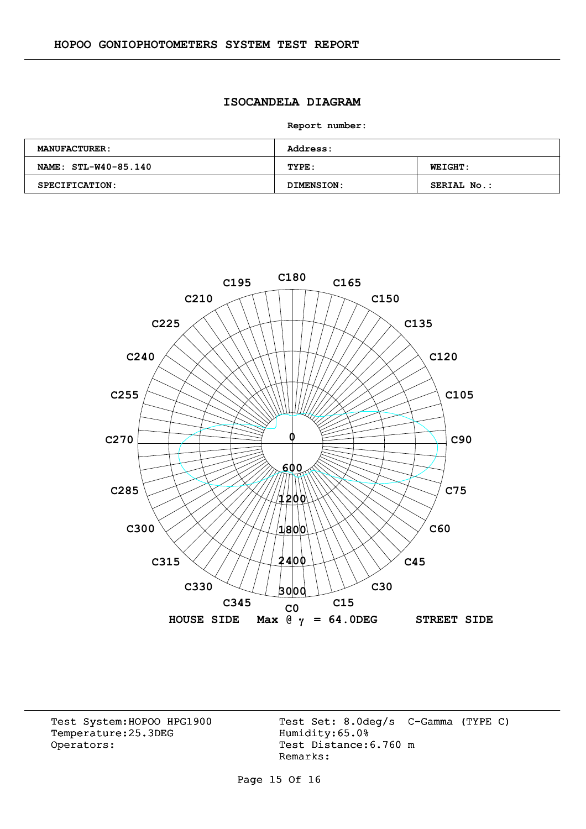## **ISOCANDELA DIAGRAM**

**Report number:** 

| <b>MANUFACTURER:</b> | <b>Address:</b> |                |  |  |  |  |  |
|----------------------|-----------------|----------------|--|--|--|--|--|
| NAME: STL-W40-85.140 | TYPE:           | <b>WEIGHT:</b> |  |  |  |  |  |
| SPECIFICATION:       | DIMENSION:      | SERIAL No.:    |  |  |  |  |  |

![](_page_14_Figure_4.jpeg)

Temperature:25.3DEG Operators: Test Distance: 6.760 m